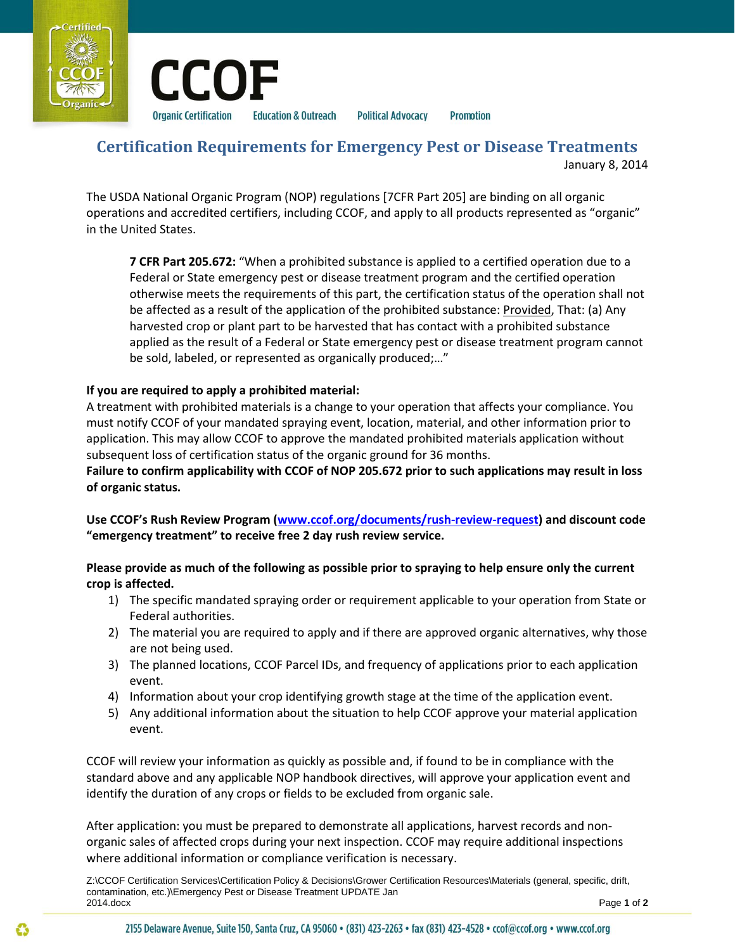



**Political Advocacy Promotion** 

# **Certification Requirements for Emergency Pest or Disease Treatments**  January 8, 2014

The USDA National Organic Program (NOP) regulations [7CFR Part 205] are binding on all organic operations and accredited certifiers, including CCOF, and apply to all products represented as "organic" in the United States.

**7 CFR Part 205.672:** "When a prohibited substance is applied to a certified operation due to a Federal or State emergency pest or disease treatment program and the certified operation otherwise meets the requirements of this part, the certification status of the operation shall not be affected as a result of the application of the prohibited substance: Provided, That: (a) Any harvested crop or plant part to be harvested that has contact with a prohibited substance applied as the result of a Federal or State emergency pest or disease treatment program cannot be sold, labeled, or represented as organically produced;…"

#### **If you are required to apply a prohibited material:**

A treatment with prohibited materials is a change to your operation that affects your compliance. You must notify CCOF of your mandated spraying event, location, material, and other information prior to application. This may allow CCOF to approve the mandated prohibited materials application without subsequent loss of certification status of the organic ground for 36 months.

**Failure to confirm applicability with CCOF of NOP 205.672 prior to such applications may result in loss of organic status.** 

**Use CCOF's Rush Review Program ([www.ccof.org/documents/rush-review-request\)](http://www.ccof.org/documents/rush-review-request) and discount code "emergency treatment" to receive free 2 day rush review service.** 

**Please provide as much of the following as possible prior to spraying to help ensure only the current crop is affected.** 

- 1) The specific mandated spraying order or requirement applicable to your operation from State or Federal authorities.
- 2) The material you are required to apply and if there are approved organic alternatives, why those are not being used.
- 3) The planned locations, CCOF Parcel IDs, and frequency of applications prior to each application event.
- 4) Information about your crop identifying growth stage at the time of the application event.
- 5) Any additional information about the situation to help CCOF approve your material application event.

CCOF will review your information as quickly as possible and, if found to be in compliance with the standard above and any applicable NOP handbook directives, will approve your application event and identify the duration of any crops or fields to be excluded from organic sale.

After application: you must be prepared to demonstrate all applications, harvest records and nonorganic sales of affected crops during your next inspection. CCOF may require additional inspections where additional information or compliance verification is necessary.

Z:\CCOF Certification Services\Certification Policy & Decisions\Grower Certification Resources\Materials (general, specific, drift, contamination, etc.)\Emergency Pest or Disease Treatment UPDATE Jan 2014.docx Page **1** of **2**